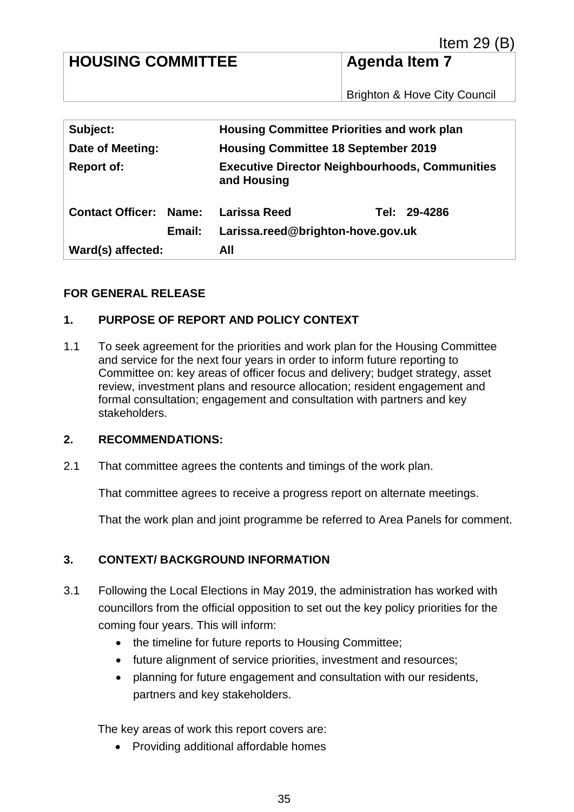# **HOUSING COMMITTEE** Agenda Item 7

Brighton & Hove City Council

| Subject:                      | <b>Housing Committee Priorities and work plan</b>                    |              |
|-------------------------------|----------------------------------------------------------------------|--------------|
| Date of Meeting:              | <b>Housing Committee 18 September 2019</b>                           |              |
| <b>Report of:</b>             | <b>Executive Director Neighbourhoods, Communities</b><br>and Housing |              |
| <b>Contact Officer: Name:</b> | Larissa Reed                                                         | Tel: 29-4286 |
| Email:                        | Larissa.reed@brighton-hove.gov.uk                                    |              |
| Ward(s) affected:             | All                                                                  |              |

#### **FOR GENERAL RELEASE**

#### **1. PURPOSE OF REPORT AND POLICY CONTEXT**

1.1 To seek agreement for the priorities and work plan for the Housing Committee and service for the next four years in order to inform future reporting to Committee on: key areas of officer focus and delivery; budget strategy, asset review, investment plans and resource allocation; resident engagement and formal consultation; engagement and consultation with partners and key stakeholders.

#### **2. RECOMMENDATIONS:**

2.1 That committee agrees the contents and timings of the work plan.

That committee agrees to receive a progress report on alternate meetings.

That the work plan and joint programme be referred to Area Panels for comment.

#### **3. CONTEXT/ BACKGROUND INFORMATION**

- 3.1 Following the Local Elections in May 2019, the administration has worked with councillors from the official opposition to set out the key policy priorities for the coming four years. This will inform:
	- the timeline for future reports to Housing Committee;
	- future alignment of service priorities, investment and resources;
	- planning for future engagement and consultation with our residents, partners and key stakeholders.

The key areas of work this report covers are:

• Providing additional affordable homes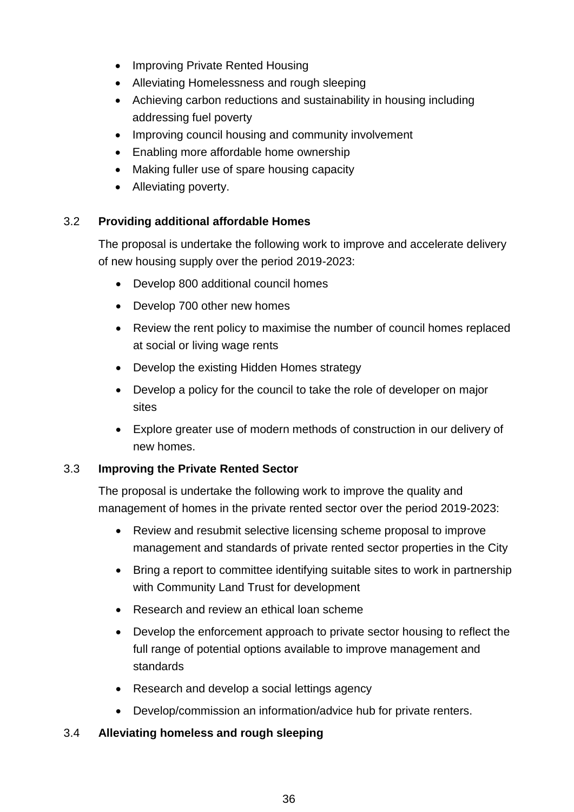- Improving Private Rented Housing
- Alleviating Homelessness and rough sleeping
- Achieving carbon reductions and sustainability in housing including addressing fuel poverty
- Improving council housing and community involvement
- Enabling more affordable home ownership
- Making fuller use of spare housing capacity
- Alleviating poverty.

### 3.2 **Providing additional affordable Homes**

The proposal is undertake the following work to improve and accelerate delivery of new housing supply over the period 2019-2023:

- Develop 800 additional council homes
- Develop 700 other new homes
- Review the rent policy to maximise the number of council homes replaced at social or living wage rents
- Develop the existing Hidden Homes strategy
- Develop a policy for the council to take the role of developer on major sites
- Explore greater use of modern methods of construction in our delivery of new homes.

#### 3.3 **Improving the Private Rented Sector**

The proposal is undertake the following work to improve the quality and management of homes in the private rented sector over the period 2019-2023:

- Review and resubmit selective licensing scheme proposal to improve management and standards of private rented sector properties in the City
- Bring a report to committee identifying suitable sites to work in partnership with Community Land Trust for development
- Research and review an ethical loan scheme
- Develop the enforcement approach to private sector housing to reflect the full range of potential options available to improve management and standards
- Research and develop a social lettings agency
- Develop/commission an information/advice hub for private renters.

#### 3.4 **Alleviating homeless and rough sleeping**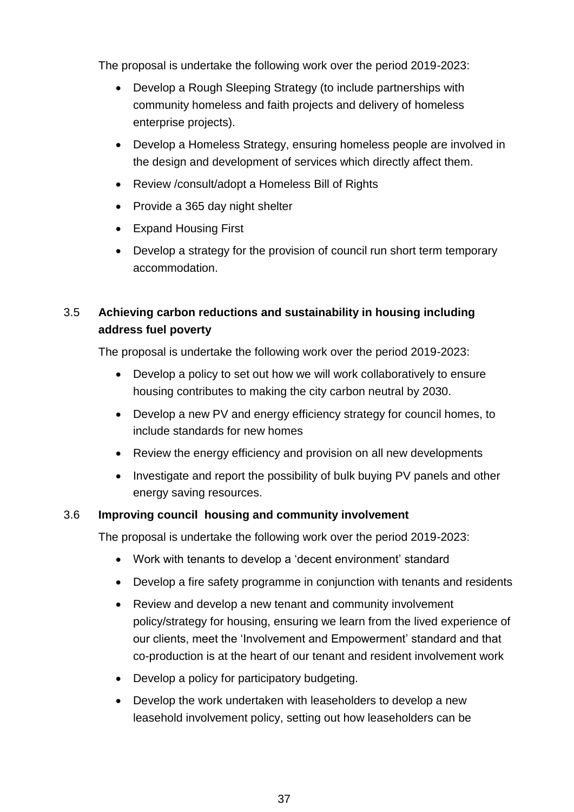The proposal is undertake the following work over the period 2019-2023:

- Develop a Rough Sleeping Strategy (to include partnerships with community homeless and faith projects and delivery of homeless enterprise projects).
- Develop a Homeless Strategy, ensuring homeless people are involved in the design and development of services which directly affect them.
- Review /consult/adopt a Homeless Bill of Rights
- Provide a 365 day night shelter
- Expand Housing First
- Develop a strategy for the provision of council run short term temporary accommodation.

# 3.5 **Achieving carbon reductions and sustainability in housing including address fuel poverty**

The proposal is undertake the following work over the period 2019-2023:

- Develop a policy to set out how we will work collaboratively to ensure housing contributes to making the city carbon neutral by 2030.
- Develop a new PV and energy efficiency strategy for council homes, to include standards for new homes
- Review the energy efficiency and provision on all new developments
- Investigate and report the possibility of bulk buying PV panels and other energy saving resources.

#### 3.6 **Improving council housing and community involvement**

The proposal is undertake the following work over the period 2019-2023:

- Work with tenants to develop a 'decent environment' standard
- Develop a fire safety programme in conjunction with tenants and residents
- Review and develop a new tenant and community involvement policy/strategy for housing, ensuring we learn from the lived experience of our clients, meet the 'Involvement and Empowerment' standard and that co-production is at the heart of our tenant and resident involvement work
- Develop a policy for participatory budgeting.
- Develop the work undertaken with leaseholders to develop a new leasehold involvement policy, setting out how leaseholders can be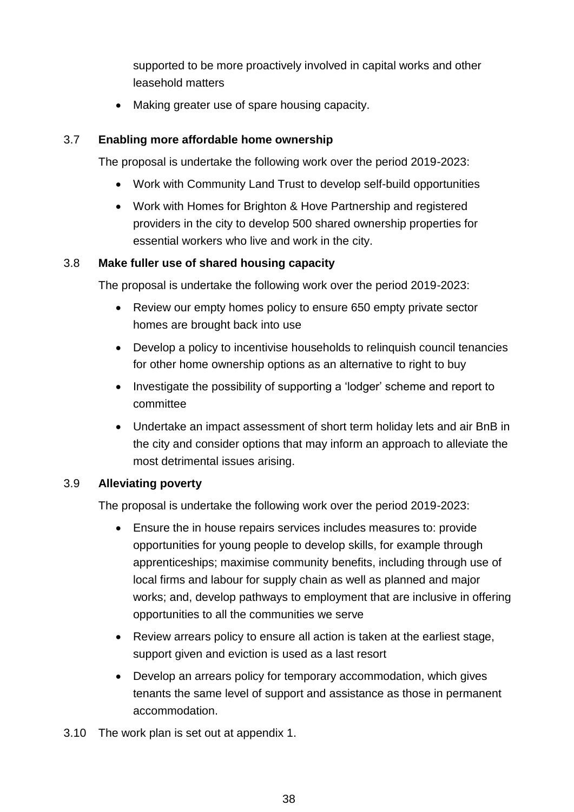supported to be more proactively involved in capital works and other leasehold matters

• Making greater use of spare housing capacity.

### 3.7 **Enabling more affordable home ownership**

The proposal is undertake the following work over the period 2019-2023:

- Work with Community Land Trust to develop self-build opportunities
- Work with Homes for Brighton & Hove Partnership and registered providers in the city to develop 500 shared ownership properties for essential workers who live and work in the city.

#### 3.8 **Make fuller use of shared housing capacity**

The proposal is undertake the following work over the period 2019-2023:

- Review our empty homes policy to ensure 650 empty private sector homes are brought back into use
- Develop a policy to incentivise households to relinquish council tenancies for other home ownership options as an alternative to right to buy
- Investigate the possibility of supporting a 'lodger' scheme and report to committee
- Undertake an impact assessment of short term holiday lets and air BnB in the city and consider options that may inform an approach to alleviate the most detrimental issues arising.

#### 3.9 **Alleviating poverty**

The proposal is undertake the following work over the period 2019-2023:

- Ensure the in house repairs services includes measures to: provide opportunities for young people to develop skills, for example through apprenticeships; maximise community benefits, including through use of local firms and labour for supply chain as well as planned and major works; and, develop pathways to employment that are inclusive in offering opportunities to all the communities we serve
- Review arrears policy to ensure all action is taken at the earliest stage, support given and eviction is used as a last resort
- Develop an arrears policy for temporary accommodation, which gives tenants the same level of support and assistance as those in permanent accommodation.
- 3.10 The work plan is set out at appendix 1.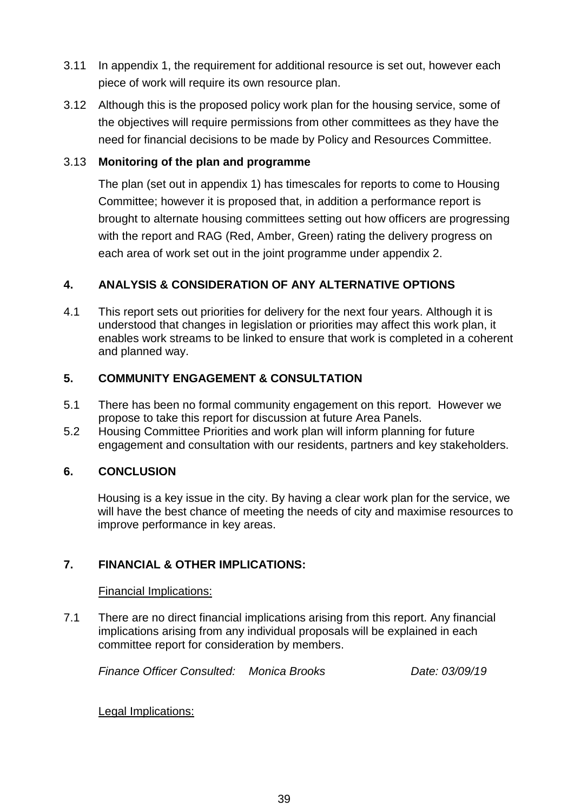- 3.11 In appendix 1, the requirement for additional resource is set out, however each piece of work will require its own resource plan.
- 3.12 Although this is the proposed policy work plan for the housing service, some of the objectives will require permissions from other committees as they have the need for financial decisions to be made by Policy and Resources Committee.

#### 3.13 **Monitoring of the plan and programme**

The plan (set out in appendix 1) has timescales for reports to come to Housing Committee; however it is proposed that, in addition a performance report is brought to alternate housing committees setting out how officers are progressing with the report and RAG (Red, Amber, Green) rating the delivery progress on each area of work set out in the joint programme under appendix 2.

# **4. ANALYSIS & CONSIDERATION OF ANY ALTERNATIVE OPTIONS**

4.1 This report sets out priorities for delivery for the next four years. Although it is understood that changes in legislation or priorities may affect this work plan, it enables work streams to be linked to ensure that work is completed in a coherent and planned way.

### **5. COMMUNITY ENGAGEMENT & CONSULTATION**

- 5.1 There has been no formal community engagement on this report. However we propose to take this report for discussion at future Area Panels.
- 5.2 Housing Committee Priorities and work plan will inform planning for future engagement and consultation with our residents, partners and key stakeholders.

#### **6. CONCLUSION**

Housing is a key issue in the city. By having a clear work plan for the service, we will have the best chance of meeting the needs of city and maximise resources to improve performance in key areas.

# **7. FINANCIAL & OTHER IMPLICATIONS:**

Financial Implications:

7.1 There are no direct financial implications arising from this report. Any financial implications arising from any individual proposals will be explained in each committee report for consideration by members.

*Finance Officer Consulted: Monica Brooks Date: 03/09/19*

Legal Implications: